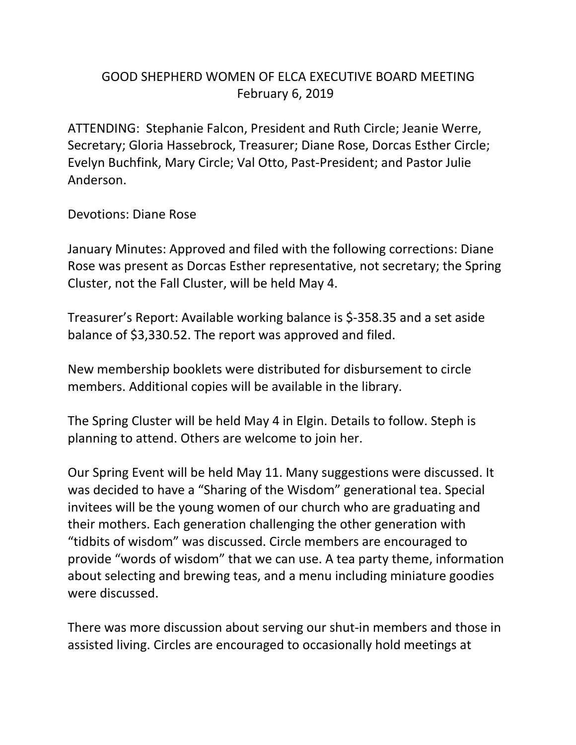## GOOD SHEPHERD WOMEN OF ELCA EXECUTIVE BOARD MEETING February 6, 2019

ATTENDING: Stephanie Falcon, President and Ruth Circle; Jeanie Werre, Secretary; Gloria Hassebrock, Treasurer; Diane Rose, Dorcas Esther Circle; Evelyn Buchfink, Mary Circle; Val Otto, Past-President; and Pastor Julie Anderson.

Devotions: Diane Rose

January Minutes: Approved and filed with the following corrections: Diane Rose was present as Dorcas Esther representative, not secretary; the Spring Cluster, not the Fall Cluster, will be held May 4.

Treasurer's Report: Available working balance is \$-358.35 and a set aside balance of \$3,330.52. The report was approved and filed.

New membership booklets were distributed for disbursement to circle members. Additional copies will be available in the library.

The Spring Cluster will be held May 4 in Elgin. Details to follow. Steph is planning to attend. Others are welcome to join her.

Our Spring Event will be held May 11. Many suggestions were discussed. It was decided to have a "Sharing of the Wisdom" generational tea. Special invitees will be the young women of our church who are graduating and their mothers. Each generation challenging the other generation with "tidbits of wisdom" was discussed. Circle members are encouraged to provide "words of wisdom" that we can use. A tea party theme, information about selecting and brewing teas, and a menu including miniature goodies were discussed.

There was more discussion about serving our shut-in members and those in assisted living. Circles are encouraged to occasionally hold meetings at